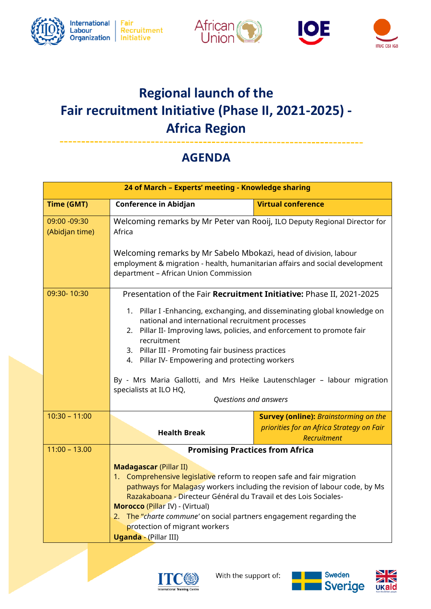







## **Regional launch of the Fair recruitment Initiative (Phase II, 2021-2025) - Africa Region**

## **AGENDA**

|                                | 24 of March - Experts' meeting - Knowledge sharing                                                                                                                                                                                                                                                                              |                                                                                                                                                     |  |
|--------------------------------|---------------------------------------------------------------------------------------------------------------------------------------------------------------------------------------------------------------------------------------------------------------------------------------------------------------------------------|-----------------------------------------------------------------------------------------------------------------------------------------------------|--|
| <b>Time (GMT)</b>              | <b>Conference in Abidjan</b>                                                                                                                                                                                                                                                                                                    | <b>Virtual conference</b>                                                                                                                           |  |
| 09:00 -09:30<br>(Abidjan time) | Welcoming remarks by Mr Peter van Rooij, ILO Deputy Regional Director for<br>Africa                                                                                                                                                                                                                                             |                                                                                                                                                     |  |
|                                | Welcoming remarks by Mr Sabelo Mbokazi, head of division, labour<br>employment & migration - health, humanitarian affairs and social development<br>department - African Union Commission                                                                                                                                       |                                                                                                                                                     |  |
| 09:30-10:30                    | Presentation of the Fair Recruitment Initiative: Phase II, 2021-2025                                                                                                                                                                                                                                                            |                                                                                                                                                     |  |
|                                | 1. Pillar I -Enhancing, exchanging, and disseminating global knowledge on<br>national and international recruitment processes<br>2. Pillar II- Improving laws, policies, and enforcement to promote fair<br>recruitment<br>3. Pillar III - Promoting fair business practices<br>4. Pillar IV- Empowering and protecting workers |                                                                                                                                                     |  |
|                                |                                                                                                                                                                                                                                                                                                                                 | By - Mrs Maria Gallotti, and Mrs Heike Lautenschlager - labour migration                                                                            |  |
|                                | specialists at ILO HQ,<br>Questions and answers                                                                                                                                                                                                                                                                                 |                                                                                                                                                     |  |
| $10:30 - 11:00$                |                                                                                                                                                                                                                                                                                                                                 | <b>Survey (online): Brainstorming on the</b>                                                                                                        |  |
|                                | <b>Health Break</b>                                                                                                                                                                                                                                                                                                             | priorities for an Africa Strategy on Fair<br>Recruitment                                                                                            |  |
| $11:00 - 13.00$                |                                                                                                                                                                                                                                                                                                                                 | <b>Promising Practices from Africa</b>                                                                                                              |  |
|                                | <b>Madagascar (Pillar II)</b>                                                                                                                                                                                                                                                                                                   |                                                                                                                                                     |  |
|                                |                                                                                                                                                                                                                                                                                                                                 | 1. Comprehensive legislative reform to reopen safe and fair migration<br>pathways for Malagasy workers including the revision of labour code, by Ms |  |
|                                |                                                                                                                                                                                                                                                                                                                                 | Razakaboana - Directeur Général du Travail et des Lois Sociales-                                                                                    |  |
|                                | Morocco (Pillar IV) - (Virtual)<br>2. The "charte commune' on social partners engagement regarding the                                                                                                                                                                                                                          |                                                                                                                                                     |  |
|                                | protection of migrant workers<br><b>Uganda - (Pillar III)</b>                                                                                                                                                                                                                                                                   |                                                                                                                                                     |  |
|                                |                                                                                                                                                                                                                                                                                                                                 |                                                                                                                                                     |  |





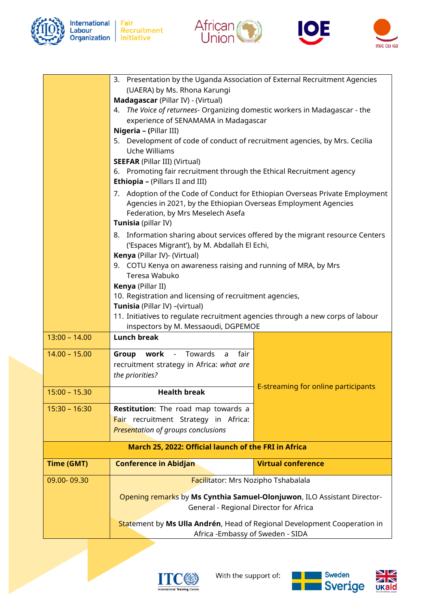

International Fair<br>Labour Recruitment<br>Organization Initiative







| 3. Presentation by the Uganda Association of External Recruitment Agencies<br>(UAERA) by Ms. Rhona Karungi<br>Madagascar (Pillar IV) - (Virtual)<br>4. The Voice of returnees- Organizing domestic workers in Madagascar - the<br>experience of SENAMAMA in Madagascar<br>Nigeria - (Pillar III)<br>5. Development of code of conduct of recruitment agencies, by Mrs. Cecilia<br>Uche Williams<br><b>SEEFAR (Pillar III) (Virtual)</b><br>6. Promoting fair recruitment through the Ethical Recruitment agency<br><b>Ethiopia - (Pillars II and III)</b><br>7. Adoption of the Code of Conduct for Ethiopian Overseas Private Employment<br>Agencies in 2021, by the Ethiopian Overseas Employment Agencies<br>Federation, by Mrs Meselech Asefa<br>Tunisia (pillar IV)<br>8. Information sharing about services offered by the migrant resource Centers<br>('Espaces Migrant'), by M. Abdallah El Echi,<br>Kenya (Pillar IV)- (Virtual)<br>9. COTU Kenya on awareness raising and running of MRA, by Mrs<br>Teresa Wabuko<br>Kenya (Pillar II)<br>10. Registration and licensing of recruitment agencies,<br>Tunisia (Pillar IV) - (virtual)<br>11. Initiatives to regulate recruitment agencies through a new corps of labour<br>inspectors by M. Messaoudi, DGPEMOE<br>$13:00 - 14.00$<br><b>Lunch break</b><br><b>Group work - Towards</b><br>$14.00 - 15.00$<br>fair<br>$\overline{a}$<br>recruitment strategy in Africa: what are<br>the priorities?<br>E-streaming for online participants<br>$15:00 - 15.30$<br><b>Health break</b><br>$15:30 - 16:30$<br>Restitution: The road map towards a<br>Fair recruitment Strategy in Africa:<br><b>Presentation of groups conclusions</b><br>March 25, 2022: Official launch of the FRI in Africa<br><b>Virtual conference</b><br><b>Time (GMT)</b><br><b>Conference in Abidjan</b><br>09.00-09.30<br>Facilitator: Mrs Nozipho Tshabalala<br>Opening remarks by Ms Cynthia Samuel-Olonjuwon, ILO Assistant Director-<br>General - Regional Director for Africa<br>Statement by Ms Ulla Andrén, Head of Regional Development Cooperation in |  |  |  |  |
|----------------------------------------------------------------------------------------------------------------------------------------------------------------------------------------------------------------------------------------------------------------------------------------------------------------------------------------------------------------------------------------------------------------------------------------------------------------------------------------------------------------------------------------------------------------------------------------------------------------------------------------------------------------------------------------------------------------------------------------------------------------------------------------------------------------------------------------------------------------------------------------------------------------------------------------------------------------------------------------------------------------------------------------------------------------------------------------------------------------------------------------------------------------------------------------------------------------------------------------------------------------------------------------------------------------------------------------------------------------------------------------------------------------------------------------------------------------------------------------------------------------------------------------------------------------------------------------------------------------------------------------------------------------------------------------------------------------------------------------------------------------------------------------------------------------------------------------------------------------------------------------------------------------------------------------------------------------------------------------------------------------------------------------------------------------------------------------------|--|--|--|--|
|                                                                                                                                                                                                                                                                                                                                                                                                                                                                                                                                                                                                                                                                                                                                                                                                                                                                                                                                                                                                                                                                                                                                                                                                                                                                                                                                                                                                                                                                                                                                                                                                                                                                                                                                                                                                                                                                                                                                                                                                                                                                                              |  |  |  |  |
|                                                                                                                                                                                                                                                                                                                                                                                                                                                                                                                                                                                                                                                                                                                                                                                                                                                                                                                                                                                                                                                                                                                                                                                                                                                                                                                                                                                                                                                                                                                                                                                                                                                                                                                                                                                                                                                                                                                                                                                                                                                                                              |  |  |  |  |
|                                                                                                                                                                                                                                                                                                                                                                                                                                                                                                                                                                                                                                                                                                                                                                                                                                                                                                                                                                                                                                                                                                                                                                                                                                                                                                                                                                                                                                                                                                                                                                                                                                                                                                                                                                                                                                                                                                                                                                                                                                                                                              |  |  |  |  |
|                                                                                                                                                                                                                                                                                                                                                                                                                                                                                                                                                                                                                                                                                                                                                                                                                                                                                                                                                                                                                                                                                                                                                                                                                                                                                                                                                                                                                                                                                                                                                                                                                                                                                                                                                                                                                                                                                                                                                                                                                                                                                              |  |  |  |  |
|                                                                                                                                                                                                                                                                                                                                                                                                                                                                                                                                                                                                                                                                                                                                                                                                                                                                                                                                                                                                                                                                                                                                                                                                                                                                                                                                                                                                                                                                                                                                                                                                                                                                                                                                                                                                                                                                                                                                                                                                                                                                                              |  |  |  |  |
|                                                                                                                                                                                                                                                                                                                                                                                                                                                                                                                                                                                                                                                                                                                                                                                                                                                                                                                                                                                                                                                                                                                                                                                                                                                                                                                                                                                                                                                                                                                                                                                                                                                                                                                                                                                                                                                                                                                                                                                                                                                                                              |  |  |  |  |
|                                                                                                                                                                                                                                                                                                                                                                                                                                                                                                                                                                                                                                                                                                                                                                                                                                                                                                                                                                                                                                                                                                                                                                                                                                                                                                                                                                                                                                                                                                                                                                                                                                                                                                                                                                                                                                                                                                                                                                                                                                                                                              |  |  |  |  |
|                                                                                                                                                                                                                                                                                                                                                                                                                                                                                                                                                                                                                                                                                                                                                                                                                                                                                                                                                                                                                                                                                                                                                                                                                                                                                                                                                                                                                                                                                                                                                                                                                                                                                                                                                                                                                                                                                                                                                                                                                                                                                              |  |  |  |  |
|                                                                                                                                                                                                                                                                                                                                                                                                                                                                                                                                                                                                                                                                                                                                                                                                                                                                                                                                                                                                                                                                                                                                                                                                                                                                                                                                                                                                                                                                                                                                                                                                                                                                                                                                                                                                                                                                                                                                                                                                                                                                                              |  |  |  |  |
|                                                                                                                                                                                                                                                                                                                                                                                                                                                                                                                                                                                                                                                                                                                                                                                                                                                                                                                                                                                                                                                                                                                                                                                                                                                                                                                                                                                                                                                                                                                                                                                                                                                                                                                                                                                                                                                                                                                                                                                                                                                                                              |  |  |  |  |
|                                                                                                                                                                                                                                                                                                                                                                                                                                                                                                                                                                                                                                                                                                                                                                                                                                                                                                                                                                                                                                                                                                                                                                                                                                                                                                                                                                                                                                                                                                                                                                                                                                                                                                                                                                                                                                                                                                                                                                                                                                                                                              |  |  |  |  |
|                                                                                                                                                                                                                                                                                                                                                                                                                                                                                                                                                                                                                                                                                                                                                                                                                                                                                                                                                                                                                                                                                                                                                                                                                                                                                                                                                                                                                                                                                                                                                                                                                                                                                                                                                                                                                                                                                                                                                                                                                                                                                              |  |  |  |  |
|                                                                                                                                                                                                                                                                                                                                                                                                                                                                                                                                                                                                                                                                                                                                                                                                                                                                                                                                                                                                                                                                                                                                                                                                                                                                                                                                                                                                                                                                                                                                                                                                                                                                                                                                                                                                                                                                                                                                                                                                                                                                                              |  |  |  |  |
|                                                                                                                                                                                                                                                                                                                                                                                                                                                                                                                                                                                                                                                                                                                                                                                                                                                                                                                                                                                                                                                                                                                                                                                                                                                                                                                                                                                                                                                                                                                                                                                                                                                                                                                                                                                                                                                                                                                                                                                                                                                                                              |  |  |  |  |
|                                                                                                                                                                                                                                                                                                                                                                                                                                                                                                                                                                                                                                                                                                                                                                                                                                                                                                                                                                                                                                                                                                                                                                                                                                                                                                                                                                                                                                                                                                                                                                                                                                                                                                                                                                                                                                                                                                                                                                                                                                                                                              |  |  |  |  |
|                                                                                                                                                                                                                                                                                                                                                                                                                                                                                                                                                                                                                                                                                                                                                                                                                                                                                                                                                                                                                                                                                                                                                                                                                                                                                                                                                                                                                                                                                                                                                                                                                                                                                                                                                                                                                                                                                                                                                                                                                                                                                              |  |  |  |  |
|                                                                                                                                                                                                                                                                                                                                                                                                                                                                                                                                                                                                                                                                                                                                                                                                                                                                                                                                                                                                                                                                                                                                                                                                                                                                                                                                                                                                                                                                                                                                                                                                                                                                                                                                                                                                                                                                                                                                                                                                                                                                                              |  |  |  |  |
|                                                                                                                                                                                                                                                                                                                                                                                                                                                                                                                                                                                                                                                                                                                                                                                                                                                                                                                                                                                                                                                                                                                                                                                                                                                                                                                                                                                                                                                                                                                                                                                                                                                                                                                                                                                                                                                                                                                                                                                                                                                                                              |  |  |  |  |
|                                                                                                                                                                                                                                                                                                                                                                                                                                                                                                                                                                                                                                                                                                                                                                                                                                                                                                                                                                                                                                                                                                                                                                                                                                                                                                                                                                                                                                                                                                                                                                                                                                                                                                                                                                                                                                                                                                                                                                                                                                                                                              |  |  |  |  |
|                                                                                                                                                                                                                                                                                                                                                                                                                                                                                                                                                                                                                                                                                                                                                                                                                                                                                                                                                                                                                                                                                                                                                                                                                                                                                                                                                                                                                                                                                                                                                                                                                                                                                                                                                                                                                                                                                                                                                                                                                                                                                              |  |  |  |  |
|                                                                                                                                                                                                                                                                                                                                                                                                                                                                                                                                                                                                                                                                                                                                                                                                                                                                                                                                                                                                                                                                                                                                                                                                                                                                                                                                                                                                                                                                                                                                                                                                                                                                                                                                                                                                                                                                                                                                                                                                                                                                                              |  |  |  |  |
|                                                                                                                                                                                                                                                                                                                                                                                                                                                                                                                                                                                                                                                                                                                                                                                                                                                                                                                                                                                                                                                                                                                                                                                                                                                                                                                                                                                                                                                                                                                                                                                                                                                                                                                                                                                                                                                                                                                                                                                                                                                                                              |  |  |  |  |
|                                                                                                                                                                                                                                                                                                                                                                                                                                                                                                                                                                                                                                                                                                                                                                                                                                                                                                                                                                                                                                                                                                                                                                                                                                                                                                                                                                                                                                                                                                                                                                                                                                                                                                                                                                                                                                                                                                                                                                                                                                                                                              |  |  |  |  |
|                                                                                                                                                                                                                                                                                                                                                                                                                                                                                                                                                                                                                                                                                                                                                                                                                                                                                                                                                                                                                                                                                                                                                                                                                                                                                                                                                                                                                                                                                                                                                                                                                                                                                                                                                                                                                                                                                                                                                                                                                                                                                              |  |  |  |  |
|                                                                                                                                                                                                                                                                                                                                                                                                                                                                                                                                                                                                                                                                                                                                                                                                                                                                                                                                                                                                                                                                                                                                                                                                                                                                                                                                                                                                                                                                                                                                                                                                                                                                                                                                                                                                                                                                                                                                                                                                                                                                                              |  |  |  |  |
|                                                                                                                                                                                                                                                                                                                                                                                                                                                                                                                                                                                                                                                                                                                                                                                                                                                                                                                                                                                                                                                                                                                                                                                                                                                                                                                                                                                                                                                                                                                                                                                                                                                                                                                                                                                                                                                                                                                                                                                                                                                                                              |  |  |  |  |
|                                                                                                                                                                                                                                                                                                                                                                                                                                                                                                                                                                                                                                                                                                                                                                                                                                                                                                                                                                                                                                                                                                                                                                                                                                                                                                                                                                                                                                                                                                                                                                                                                                                                                                                                                                                                                                                                                                                                                                                                                                                                                              |  |  |  |  |
|                                                                                                                                                                                                                                                                                                                                                                                                                                                                                                                                                                                                                                                                                                                                                                                                                                                                                                                                                                                                                                                                                                                                                                                                                                                                                                                                                                                                                                                                                                                                                                                                                                                                                                                                                                                                                                                                                                                                                                                                                                                                                              |  |  |  |  |
|                                                                                                                                                                                                                                                                                                                                                                                                                                                                                                                                                                                                                                                                                                                                                                                                                                                                                                                                                                                                                                                                                                                                                                                                                                                                                                                                                                                                                                                                                                                                                                                                                                                                                                                                                                                                                                                                                                                                                                                                                                                                                              |  |  |  |  |
|                                                                                                                                                                                                                                                                                                                                                                                                                                                                                                                                                                                                                                                                                                                                                                                                                                                                                                                                                                                                                                                                                                                                                                                                                                                                                                                                                                                                                                                                                                                                                                                                                                                                                                                                                                                                                                                                                                                                                                                                                                                                                              |  |  |  |  |
|                                                                                                                                                                                                                                                                                                                                                                                                                                                                                                                                                                                                                                                                                                                                                                                                                                                                                                                                                                                                                                                                                                                                                                                                                                                                                                                                                                                                                                                                                                                                                                                                                                                                                                                                                                                                                                                                                                                                                                                                                                                                                              |  |  |  |  |
|                                                                                                                                                                                                                                                                                                                                                                                                                                                                                                                                                                                                                                                                                                                                                                                                                                                                                                                                                                                                                                                                                                                                                                                                                                                                                                                                                                                                                                                                                                                                                                                                                                                                                                                                                                                                                                                                                                                                                                                                                                                                                              |  |  |  |  |
|                                                                                                                                                                                                                                                                                                                                                                                                                                                                                                                                                                                                                                                                                                                                                                                                                                                                                                                                                                                                                                                                                                                                                                                                                                                                                                                                                                                                                                                                                                                                                                                                                                                                                                                                                                                                                                                                                                                                                                                                                                                                                              |  |  |  |  |
|                                                                                                                                                                                                                                                                                                                                                                                                                                                                                                                                                                                                                                                                                                                                                                                                                                                                                                                                                                                                                                                                                                                                                                                                                                                                                                                                                                                                                                                                                                                                                                                                                                                                                                                                                                                                                                                                                                                                                                                                                                                                                              |  |  |  |  |
|                                                                                                                                                                                                                                                                                                                                                                                                                                                                                                                                                                                                                                                                                                                                                                                                                                                                                                                                                                                                                                                                                                                                                                                                                                                                                                                                                                                                                                                                                                                                                                                                                                                                                                                                                                                                                                                                                                                                                                                                                                                                                              |  |  |  |  |
|                                                                                                                                                                                                                                                                                                                                                                                                                                                                                                                                                                                                                                                                                                                                                                                                                                                                                                                                                                                                                                                                                                                                                                                                                                                                                                                                                                                                                                                                                                                                                                                                                                                                                                                                                                                                                                                                                                                                                                                                                                                                                              |  |  |  |  |
|                                                                                                                                                                                                                                                                                                                                                                                                                                                                                                                                                                                                                                                                                                                                                                                                                                                                                                                                                                                                                                                                                                                                                                                                                                                                                                                                                                                                                                                                                                                                                                                                                                                                                                                                                                                                                                                                                                                                                                                                                                                                                              |  |  |  |  |
|                                                                                                                                                                                                                                                                                                                                                                                                                                                                                                                                                                                                                                                                                                                                                                                                                                                                                                                                                                                                                                                                                                                                                                                                                                                                                                                                                                                                                                                                                                                                                                                                                                                                                                                                                                                                                                                                                                                                                                                                                                                                                              |  |  |  |  |
| Africa - Embassy of Sweden - SIDA                                                                                                                                                                                                                                                                                                                                                                                                                                                                                                                                                                                                                                                                                                                                                                                                                                                                                                                                                                                                                                                                                                                                                                                                                                                                                                                                                                                                                                                                                                                                                                                                                                                                                                                                                                                                                                                                                                                                                                                                                                                            |  |  |  |  |





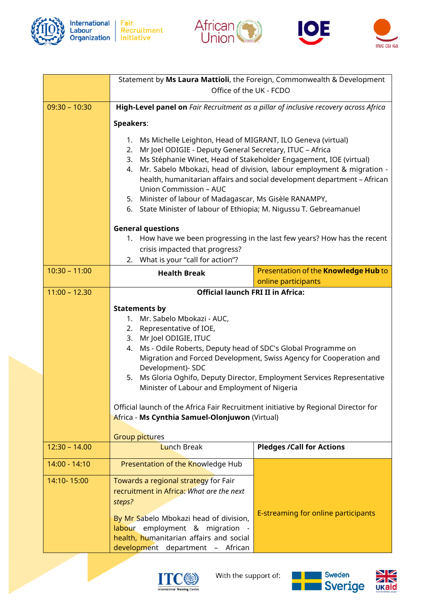







|                 | Statement by Ms Laura Mattioli, the Foreign, Commonwealth & Development<br>Office of the UK - FCDO                                                                                                                                                                                                                                                                                                                                                                                                                                        |                                                                                                                                             |  |
|-----------------|-------------------------------------------------------------------------------------------------------------------------------------------------------------------------------------------------------------------------------------------------------------------------------------------------------------------------------------------------------------------------------------------------------------------------------------------------------------------------------------------------------------------------------------------|---------------------------------------------------------------------------------------------------------------------------------------------|--|
| $09:30 - 10:30$ | High-Level panel on Fair Recruitment as a pillar of inclusive recovery across Africa                                                                                                                                                                                                                                                                                                                                                                                                                                                      |                                                                                                                                             |  |
|                 | <b>Speakers:</b>                                                                                                                                                                                                                                                                                                                                                                                                                                                                                                                          |                                                                                                                                             |  |
|                 | Ms Michelle Leighton, Head of MIGRANT, ILO Geneva (virtual)<br>1.<br>Mr Joel ODIGIE - Deputy General Secretary, ITUC - Africa<br>2.<br>3. Ms Stéphanie Winet, Head of Stakeholder Engagement, IOE (virtual)<br>Mr. Sabelo Mbokazi, head of division, labour employment & migration -<br>4.<br>health, humanitarian affairs and social development department - African<br><b>Union Commission - AUC</b><br>5. Minister of labour of Madagascar, Ms Gisèle RANAMPY,<br>6. State Minister of labour of Ethiopia; M. Nigussu T. Gebreamanuel |                                                                                                                                             |  |
|                 | <b>General questions</b>                                                                                                                                                                                                                                                                                                                                                                                                                                                                                                                  |                                                                                                                                             |  |
|                 | crisis impacted that progress?                                                                                                                                                                                                                                                                                                                                                                                                                                                                                                            | 1. How have we been progressing in the last few years? How has the recent                                                                   |  |
|                 | What is your "call for action"?<br>2.                                                                                                                                                                                                                                                                                                                                                                                                                                                                                                     |                                                                                                                                             |  |
| $10:30 - 11:00$ | <b>Health Break</b>                                                                                                                                                                                                                                                                                                                                                                                                                                                                                                                       | Presentation of the Knowledge Hub to<br>online participants                                                                                 |  |
| $11:00 - 12.30$ | <b>Official launch FRI II in Africa:</b>                                                                                                                                                                                                                                                                                                                                                                                                                                                                                                  |                                                                                                                                             |  |
|                 | <b>Statements by</b><br>1. Mr. Sabelo Mbokazi - AUC,<br>2. Representative of IOE,<br>3. Mr Joel ODIGIE, ITUC<br>Ms - Odile Roberts, Deputy head of SDC's Global Programme on<br>4.<br>Development)- SDC<br>5.<br>Minister of Labour and Employment of Nigeria<br>Official launch of the Africa Fair Recruitment initiative by Regional Director for<br>Africa - Ms Cynthia Samuel-Olonjuwon (Virtual)<br><b>Group pictures</b>                                                                                                            | Migration and Forced Development, Swiss Agency for Cooperation and<br>Ms Gloria Oghifo, Deputy Director, Employment Services Representative |  |
| $12:30 - 14.00$ | <b>Lunch Break</b>                                                                                                                                                                                                                                                                                                                                                                                                                                                                                                                        | <b>Pledges /Call for Actions</b>                                                                                                            |  |
| 14:00 - 14:10   | Presentation of the Knowledge Hub                                                                                                                                                                                                                                                                                                                                                                                                                                                                                                         |                                                                                                                                             |  |
| 14:10-15:00     | Towards a regional strategy for Fair<br>recruitment in Africa: What are the next<br>steps?<br>By Mr Sabelo Mbokazi head of division,<br>labour employment & migration<br>health, humanitarian affairs and social                                                                                                                                                                                                                                                                                                                          | E-streaming for online participants                                                                                                         |  |
|                 | development department - African                                                                                                                                                                                                                                                                                                                                                                                                                                                                                                          |                                                                                                                                             |  |



With the support of: